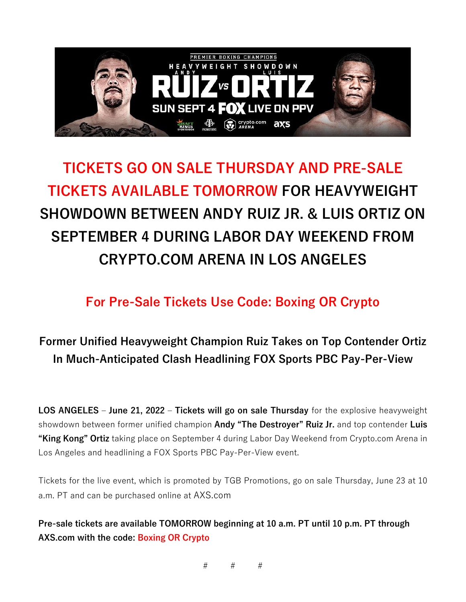

## **TICKETS GO ON SALE THURSDAY AND PRE-SALE TICKETS AVAILABLE TOMORROW FOR HEAVYWEIGHT SHOWDOWN BETWEEN ANDY RUIZ JR. & LUIS ORTIZ ON SEPTEMBER 4 DURING LABOR DAY WEEKEND FROM CRYPTO.COM ARENA IN LOS ANGELES**

**For Pre-Sale Tickets Use Code: Boxing OR Crypto**

## **Former Unified Heavyweight Champion Ruiz Takes on Top Contender Ortiz In Much-Anticipated Clash Headlining FOX Sports PBC Pay-Per-View**

**LOS ANGELES – June 21, 2022 – Tickets will go on sale Thursday** for the explosive heavyweight showdown between former unified champion **Andy "The Destroyer" Ruiz Jr.** and top contender **Luis "King Kong" Ortiz** taking place on September 4 during Labor Day Weekend from Crypto.com Arena in Los Angeles and headlining a FOX Sports PBC Pay-Per-View event.

Tickets for the live event, which is promoted by TGB Promotions, go on sale Thursday, June 23 at 10 a.m. PT and can be purchased online at AXS.com

**Pre-sale tickets are available TOMORROW beginning at 10 a.m. PT until 10 p.m. PT through AXS.com with the code: Boxing OR Crypto**

# # #